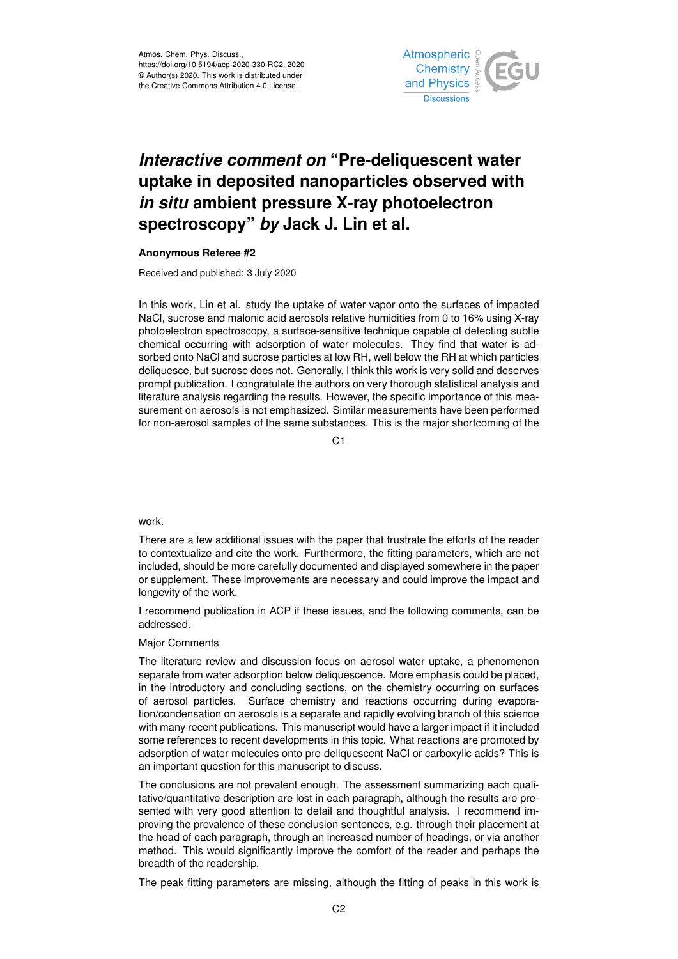

## *Interactive comment on* **"Pre-deliquescent water uptake in deposited nanoparticles observed with** *in situ* **ambient pressure X-ray photoelectron spectroscopy"** *by* **Jack J. Lin et al.**

## **Anonymous Referee #2**

Received and published: 3 July 2020

In this work, Lin et al. study the uptake of water vapor onto the surfaces of impacted NaCl, sucrose and malonic acid aerosols relative humidities from 0 to 16% using X-ray photoelectron spectroscopy, a surface-sensitive technique capable of detecting subtle chemical occurring with adsorption of water molecules. They find that water is adsorbed onto NaCl and sucrose particles at low RH, well below the RH at which particles deliquesce, but sucrose does not. Generally, I think this work is very solid and deserves prompt publication. I congratulate the authors on very thorough statistical analysis and literature analysis regarding the results. However, the specific importance of this measurement on aerosols is not emphasized. Similar measurements have been performed for non-aerosol samples of the same substances. This is the major shortcoming of the

C1

## work.

There are a few additional issues with the paper that frustrate the efforts of the reader to contextualize and cite the work. Furthermore, the fitting parameters, which are not included, should be more carefully documented and displayed somewhere in the paper or supplement. These improvements are necessary and could improve the impact and longevity of the work.

I recommend publication in ACP if these issues, and the following comments, can be addressed.

## Major Comments

The literature review and discussion focus on aerosol water uptake, a phenomenon separate from water adsorption below deliquescence. More emphasis could be placed, in the introductory and concluding sections, on the chemistry occurring on surfaces of aerosol particles. Surface chemistry and reactions occurring during evaporation/condensation on aerosols is a separate and rapidly evolving branch of this science with many recent publications. This manuscript would have a larger impact if it included some references to recent developments in this topic. What reactions are promoted by adsorption of water molecules onto pre-deliquescent NaCl or carboxylic acids? This is an important question for this manuscript to discuss.

The conclusions are not prevalent enough. The assessment summarizing each qualitative/quantitative description are lost in each paragraph, although the results are presented with very good attention to detail and thoughtful analysis. I recommend improving the prevalence of these conclusion sentences, e.g. through their placement at the head of each paragraph, through an increased number of headings, or via another method. This would significantly improve the comfort of the reader and perhaps the breadth of the readership.

The peak fitting parameters are missing, although the fitting of peaks in this work is